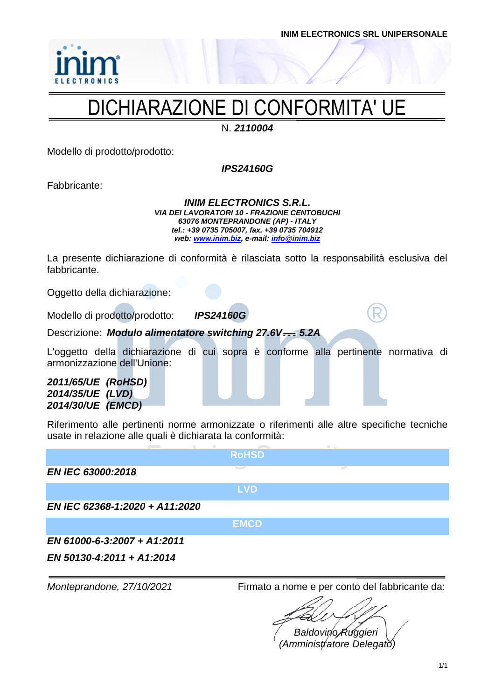## DICHIARAZIONE DI CONFORMITA' UE

N. *2110004*

Modello di prodotto/prodotto:

*IPS24160G*

Fabbricante:

*INIM ELECTRONICS S.R.L. VIA DEI LAVORATORI 10 - FRAZIONE CENTOBUCHI 63076 MONTEPRANDONE (AP) - ITALY tel.: +39 0735 705007, fax. +39 0735 704912 web: [www.inim.biz,](http://www.inim.biz/) e-mail[: info@inim.biz](mailto:info@inim.biz)*

La presente dichiarazione di conformità è rilasciata sotto la responsabilità esclusiva del fabbricante.

Oggetto della dichiarazione:

Modello di prodotto/prodotto: *IPS24160G*

Descrizione: *Modulo alimentatore switching 27.6V 5.2A*

L'oggetto della dichiarazione di cui sopra è conforme alla pertinente normativa di armonizzazione dell'Unione:

*2011/65/UE (RoHSD) 2014/35/UE (LVD) 2014/30/UE (EMCD)*

Riferimento alle pertinenti norme armonizzate o riferimenti alle altre specifiche tecniche usate in relazione alle quali è dichiarata la conformità:

|                                | <b>RoHSD</b>                                   |
|--------------------------------|------------------------------------------------|
| <b>EN IEC 63000:2018</b>       |                                                |
|                                | <b>LVD</b>                                     |
| EN IEC 62368-1:2020 + A11:2020 |                                                |
|                                | <b>EMCD</b>                                    |
| EN 61000-6-3:2007 + A1:2011    |                                                |
| EN 50130-4:2011 + A1:2014      |                                                |
| Monteprandone, 27/10/2021      | Firmato a nome e per conto del fabbricante da: |

*Baldovino Ruggieri (Amministratore Delegato)*